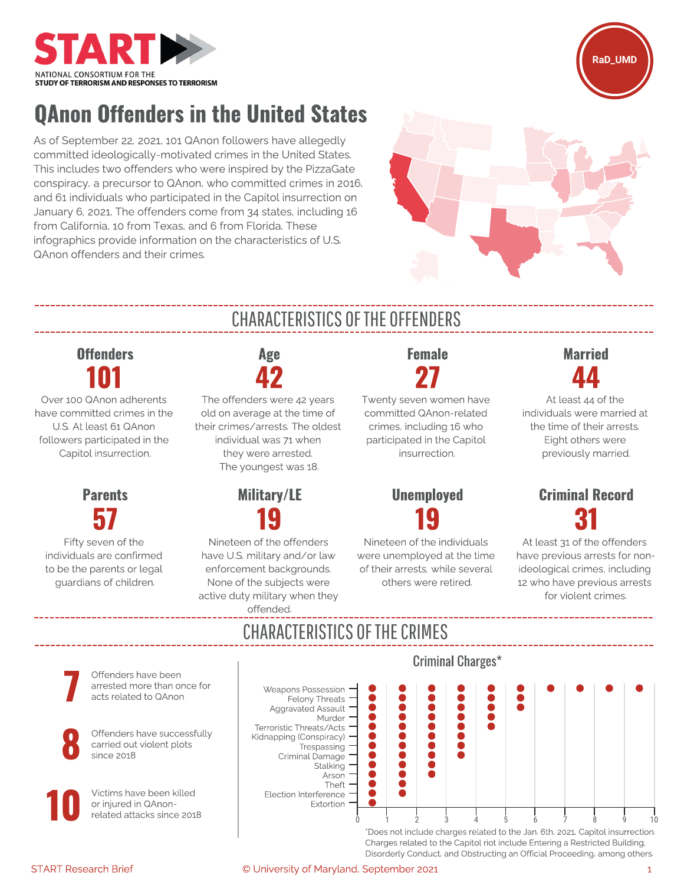



# QAnon Offenders in the United States

As of September 22, 2021, 101 QAnon followers have allegedly committed ideologically-motivated crimes in the United States. This includes two offenders who were inspired by the PizzaGate conspiracy, a precursor to QAnon, who committed crimes in 2016, and 61 individuals who participated in the Capitol insurrection on January 6, 2021. The offenders come from 34 states, including 16 from California, 10 from Texas, and 6 from Florida. These infographics provide information on the characteristics of U.S. QAnon offenders and their crimes.



## **Offenders** 101

Over 100 QAnon adherents have committed crimes in the U.S. At least 61 QAnon followers participated in the Capitol insurrection.

#### **Parents** 57

Fifty seven of the individuals are confirmed to be the parents or legal guardians of children.

# CHARACTERISTICS OF THE OFFENDERS

Age 42

The offenders were 42 years old on average at the time of their crimes/arrests. The oldest individual was 71 when they were arrested. The youngest was 18.



Nineteen of the offenders have U.S. military and/or law enforcement backgrounds. None of the subjects were active duty military when they offended.

# Female 27

Twenty seven women have committed QAnon-related crimes, including 16 who participated in the Capitol insurrection.

### Unemployed 19

Nineteen of the individuals were unemployed at the time of their arrests, while several others were retired.

## Married 44

At least 44 of the individuals were married at the time of their arrests. Eight others were previously married.

## Criminal Record 31

At least 31 of the offenders have previous arrests for nonideological crimes, including 12 who have previous arrests for violent crimes.

# CHARACTERISTICS OF THE CRIMES

Criminal Charges\* Offenders have been arrested more than once for Weapons Possession acts related to QAnon Felony Threats  $\bullet$ Aggravated Assault 0  $\bullet$ Murder ....  $\bullet$ Ŏ ..... Terroristic Threats/Acts Offenders have successfully Ò Kidnapping (Conspiracy) carried out violent plots **Trespassing** Criminal Damage Stalking Ŏ Arson Theft Election Interference Extortion related attacks since 2018 0 1 2 3 4 5 6 7 8 9 10

\*Does not include charges related to the Jan. 6th, 2021, Capitol insurrection. Charges related to the Capitol riot include Entering a Restricted Building, Disorderly Conduct, and Obstructing an Official Proceeding, among others.

Victims have been killed or injured in QAnon-10

since 2018

8

7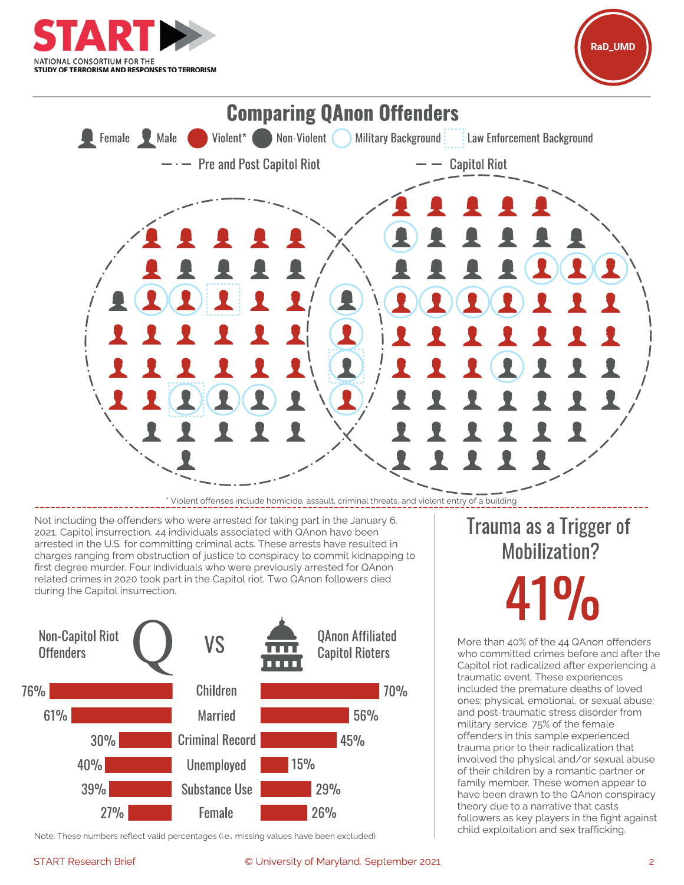





\* Violent offenses include homicide, assault, criminal threats, and violent entry of a building

Not including the offenders who were arrested for taking part in the January 6, 2021, Capitol insurrection, 44 individuals associated with QAnon have been arrested in the U.S. for committing criminal acts. These arrests have resulted in charges ranging from obstruction of justice to conspiracy to commit kidnapping to first degree murder. Four individuals who were previously arrested for QAnon related crimes in 2020 took part in the Capitol riot. Two QAnon followers died during the Capitol insurrection.



child exploitation and sex trafficking. Note: These numbers reflect valid percentages (i.e., missing values have been excluded)

#### START Research Brief **Example 2018** C University of Maryland, September 2021 2018

# Trauma as a Trigger of Mobilization?

41%

More than 40% of the 44 QAnon offenders who committed crimes before and after the Capitol riot radicalized after experiencing a traumatic event. These experiences included the premature deaths of loved ones; physical, emotional, or sexual abuse; and post-traumatic stress disorder from military service. 75% of the female offenders in this sample experienced trauma prior to their radicalization that involved the physical and/or sexual abuse of their children by a romantic partner or family member. These women appear to have been drawn to the QAnon conspiracy theory due to a narrative that casts followers as key players in the fight against